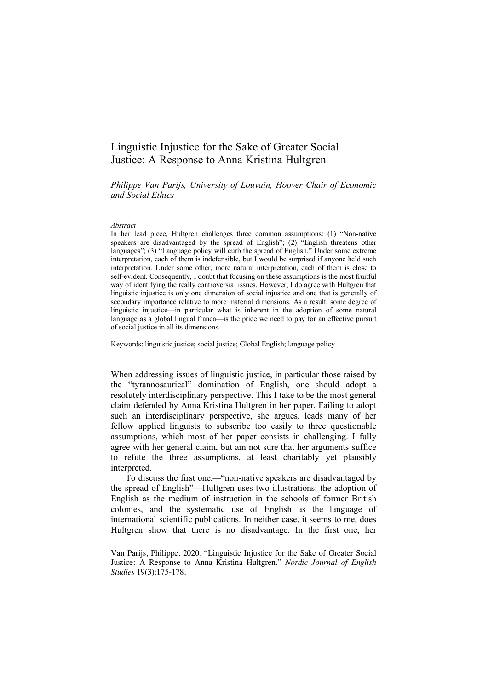## Linguistic Injustice for the Sake of Greater Social Justice: A Response to Anna Kristina Hultgren

*Philippe Van Parijs, University of Louvain, Hoover Chair of Economic and Social Ethics*

## *Abstract*

In her lead piece, Hultgren challenges three common assumptions: (1) "Non-native speakers are disadvantaged by the spread of English"; (2) "English threatens other languages"; (3) "Language policy will curb the spread of English." Under some extreme interpretation, each of them is indefensible, but I would be surprised if anyone held such interpretation. Under some other, more natural interpretation, each of them is close to self-evident. Consequently, I doubt that focusing on these assumptions is the most fruitful way of identifying the really controversial issues. However, I do agree with Hultgren that linguistic injustice is only one dimension of social injustice and one that is generally of secondary importance relative to more material dimensions. As a result, some degree of linguistic injustice—in particular what is inherent in the adoption of some natural language as a global lingual franca—is the price we need to pay for an effective pursuit of social justice in all its dimensions.

Keywords: linguistic justice; social justice; Global English; language policy

When addressing issues of linguistic justice, in particular those raised by the "tyrannosaurical" domination of English, one should adopt a resolutely interdisciplinary perspective. This I take to be the most general claim defended by Anna Kristina Hultgren in her paper. Failing to adopt such an interdisciplinary perspective, she argues, leads many of her fellow applied linguists to subscribe too easily to three questionable assumptions, which most of her paper consists in challenging. I fully agree with her general claim, but am not sure that her arguments suffice to refute the three assumptions, at least charitably yet plausibly interpreted.

To discuss the first one,*—*"non-native speakers are disadvantaged by the spread of English"—Hultgren uses two illustrations: the adoption of English as the medium of instruction in the schools of former British colonies, and the systematic use of English as the language of international scientific publications. In neither case, it seems to me, does Hultgren show that there is no disadvantage. In the first one, her

Van Parijs, Philippe. 2020. "Linguistic Injustice for the Sake of Greater Social Justice: A Response to Anna Kristina Hultgren." *Nordic Journal of English Studies* 19(3):175-178.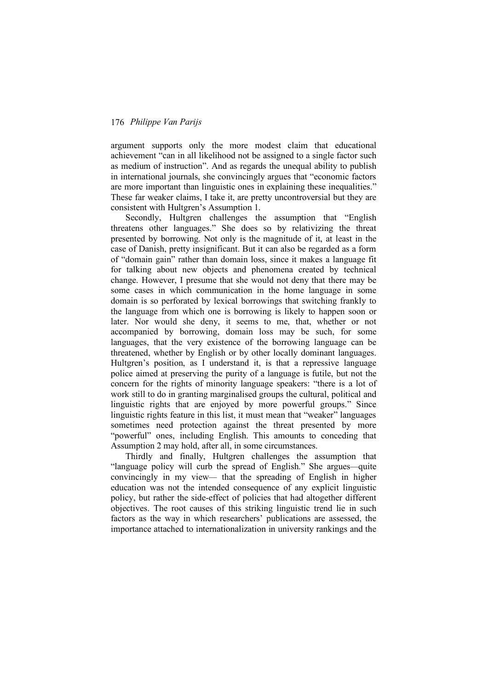## 176 *Philippe Van Parijs*

argument supports only the more modest claim that educational achievement "can in all likelihood not be assigned to a single factor such as medium of instruction". And as regards the unequal ability to publish in international journals, she convincingly argues that "economic factors are more important than linguistic ones in explaining these inequalities." These far weaker claims, I take it, are pretty uncontroversial but they are consistent with Hultgren's Assumption 1.

Secondly, Hultgren challenges the assumption that "English threatens other languages." She does so by relativizing the threat presented by borrowing. Not only is the magnitude of it, at least in the case of Danish, pretty insignificant. But it can also be regarded as a form of "domain gain" rather than domain loss, since it makes a language fit for talking about new objects and phenomena created by technical change. However, I presume that she would not deny that there may be some cases in which communication in the home language in some domain is so perforated by lexical borrowings that switching frankly to the language from which one is borrowing is likely to happen soon or later. Nor would she deny, it seems to me, that, whether or not accompanied by borrowing, domain loss may be such, for some languages, that the very existence of the borrowing language can be threatened, whether by English or by other locally dominant languages. Hultgren's position, as I understand it, is that a repressive language police aimed at preserving the purity of a language is futile, but not the concern for the rights of minority language speakers: "there is a lot of work still to do in granting marginalised groups the cultural, political and linguistic rights that are enjoyed by more powerful groups." Since linguistic rights feature in this list, it must mean that "weaker" languages sometimes need protection against the threat presented by more "powerful" ones, including English. This amounts to conceding that Assumption 2 may hold, after all, in some circumstances.

Thirdly and finally, Hultgren challenges the assumption that "language policy will curb the spread of English." She argues*—*quite convincingly in my view*—* that the spreading of English in higher education was not the intended consequence of any explicit linguistic policy, but rather the side-effect of policies that had altogether different objectives. The root causes of this striking linguistic trend lie in such factors as the way in which researchers' publications are assessed, the importance attached to internationalization in university rankings and the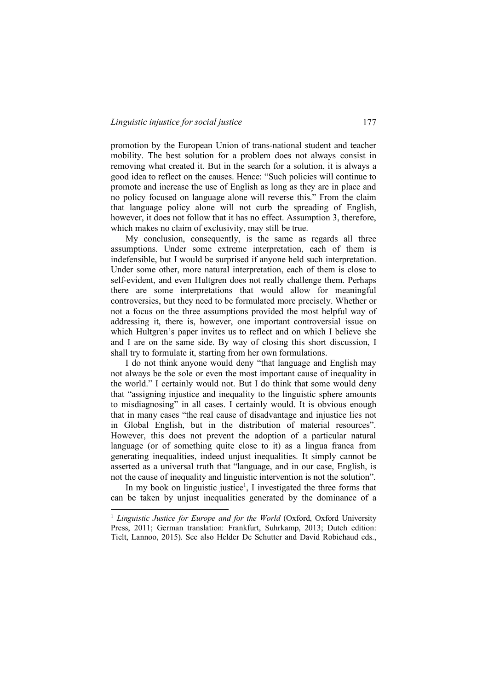promotion by the European Union of trans-national student and teacher mobility. The best solution for a problem does not always consist in removing what created it. But in the search for a solution, it is always a good idea to reflect on the causes. Hence: "Such policies will continue to promote and increase the use of English as long as they are in place and no policy focused on language alone will reverse this." From the claim that language policy alone will not curb the spreading of English, however, it does not follow that it has no effect. Assumption 3, therefore, which makes no claim of exclusivity, may still be true.

My conclusion, consequently, is the same as regards all three assumptions. Under some extreme interpretation, each of them is indefensible, but I would be surprised if anyone held such interpretation. Under some other, more natural interpretation, each of them is close to self-evident, and even Hultgren does not really challenge them. Perhaps there are some interpretations that would allow for meaningful controversies, but they need to be formulated more precisely. Whether or not a focus on the three assumptions provided the most helpful way of addressing it, there is, however, one important controversial issue on which Hultgren's paper invites us to reflect and on which I believe she and I are on the same side. By way of closing this short discussion, I shall try to formulate it, starting from her own formulations.

I do not think anyone would deny "that language and English may not always be the sole or even the most important cause of inequality in the world." I certainly would not. But I do think that some would deny that "assigning injustice and inequality to the linguistic sphere amounts to misdiagnosing" in all cases. I certainly would. It is obvious enough that in many cases "the real cause of disadvantage and injustice lies not in Global English, but in the distribution of material resources". However, this does not prevent the adoption of a particular natural language (or of something quite close to it) as a lingua franca from generating inequalities, indeed unjust inequalities. It simply cannot be asserted as a universal truth that "language, and in our case, English, is not the cause of inequality and linguistic intervention is not the solution".

In my book on linguistic justice<sup>1</sup>, I investigated the three forms that can be taken by unjust inequalities generated by the dominance of a

<sup>&</sup>lt;sup>1</sup> *Linguistic Justice for Europe and for the World* (Oxford, Oxford University Press, 2011; German translation: Frankfurt, Suhrkamp, 2013; Dutch edition: Tielt, Lannoo, 2015). See also Helder De Schutter and David Robichaud eds.,